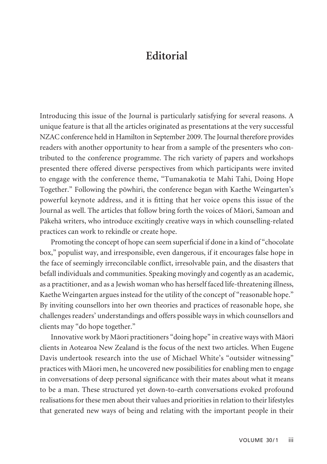## **Editorial**

Introducing this issue of the Journal is particularly satisfying for several reasons. A unique feature is that all the articles originated as presentations at the very successful NZAC conference held in Hamilton in September 2009. The Journal therefore provides readers with another opportunity to hear from a sample of the presenters who contributed to the conference programme. The rich variety of papers and workshops presented there offered diverse perspectives from which participants were invited to engage with the conference theme, "Tumanakotia te Mahi Tahi, Doing Hope Together." Following the pöwhiri, the conference began with Kaethe Weingarten's powerful keynote address, and it is fitting that her voice opens this issue of the Journal as well. The articles that follow bring forth the voices of Mäori, Samoan and Päkehä writers, who introduce excitingly creative ways in which counselling-related practices can work to rekindle or create hope.

Promoting the concept of hope can seem superficial if done in a kind of "chocolate box," populist way, and irresponsible, even dangerous, if it encourages false hope in the face of seemingly irreconcilable conflict, irresolvable pain, and the disasters that befall individuals and communities. Speaking movingly and cogently as an academic, as a practitioner, and as a Jewish woman who has herself faced life-threatening illness, Kaethe Weingarten argues instead for the utility of the concept of "reasonable hope." By inviting counsellors into her own theories and practices of reasonable hope, she challenges readers' understandings and offers possible ways in which counsellors and clients may "do hope together."

Innovative work by Mäori practitioners "doing hope" in creative ways with Mäori clients in Aotearoa New Zealand is the focus of the next two articles. When Eugene Davis undertook research into the use of Michael White's "outsider witnessing" practices with Mäori men, he uncovered new possibilities for enabling men to engage in conversations of deep personal significance with their mates about what it means to be a man. These structured yet down-to-earth conversations evoked profound realisations for these men about their values and priorities in relation to their lifestyles that generated new ways of being and relating with the important people in their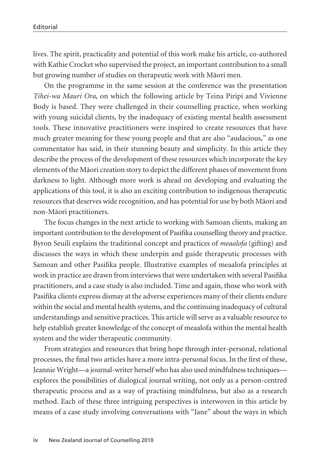lives. The spirit, practicality and potential of this work make his article, co-authored with Kathie Crocket who supervised the project, an important contribution to a small but growing number of studies on therapeutic work with Mäori men.

On the programme in the same session at the conference was the presentation *Tihei-wa Mauri Ora*, on which the following article by Teina Piripi and Vivienne Body is based. They were challenged in their counselling practice, when working with young suicidal clients, by the inadequacy of existing mental health assessment tools. These innovative practitioners were inspired to create resources that have much greater meaning for these young people and that are also "audacious," as one com mentator has said, in their stunning beauty and simplicity. In this article they describe the process of the development of these resources which incorporate the key elements of the Mäori creation story to depict the different phases of movement from darkness to light. Although more work is ahead on developing and evaluating the applications of this tool, it is also an exciting contribution to indigenous therapeutic resources that deserves wide recognition, and has potential for use by both Mäori and non-Mäori practitioners.

The focus changes in the next article to working with Samoan clients, making an important contribution to the development of Pasifika counselling theory and practice. Byron Seuili explains the traditional concept and practices of *meaalofa* (gifting) and discusses the ways in which these underpin and guide therapeutic processes with Samoan and other Pasifika people. Illustrative examples of meaalofa principles at work in practice are drawn from interviews that were undertaken with several Pasifika practitioners, and a case study is also included. Time and again, those who work with Pasifika clients express dismay at the adverse experiences many of their clients endure within the social and mental health systems, and the continuing inadequacy of cultural understandings and sensitive practices. This article will serve as a valuable resource to help establish greater knowledge of the concept of meaalofa within the mental health system and the wider therapeutic community.

From strategies and resources that bring hope through inter-personal, relational processes, the final two articles have a more intra-personal focus. In the first of these, Jeannie Wright—a journal-writer herself who has also used mindfulness techniques explores the possibilities of dialogical journal writing, not only as a person-centred therapeutic process and as a way of practising mindfulness, but also as a research method. Each of these three intriguing perspectives is interwoven in this article by means of a case study involving conversations with "Jane" about the ways in which